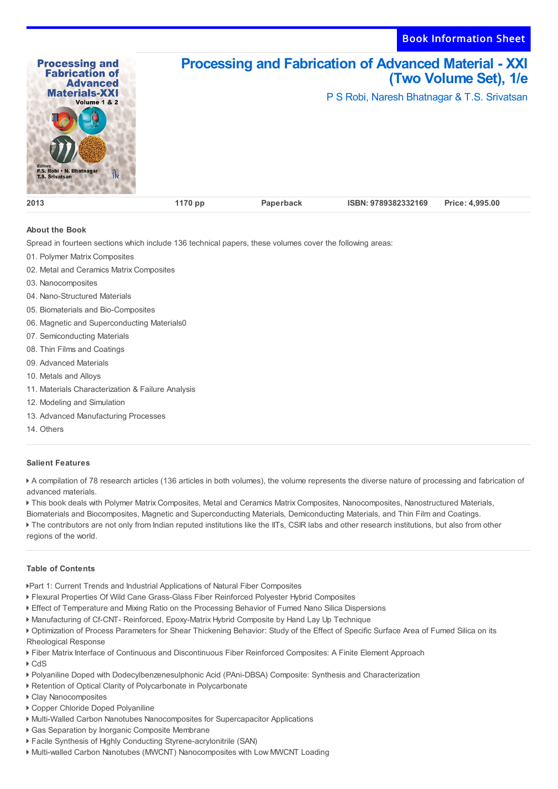Book Information Sheet



## **About the Book**

Spread in fourteen sections which include 136 technical papers, these volumes cover the following areas:

- 01. Polymer Matrix Composites
- 02. Metal and Ceramics Matrix Composites
- 03. Nanocomposites
- 04. Nano-Structured Materials
- 05. Biomaterials and Bio-Composites
- 06. Magnetic and Superconducting Materials0
- 07. Semiconducting Materials
- 08. Thin Films and Coatings
- 09. Advanced Materials
- 10. Metals and Alloys
- 11. Materials Characterization & Failure Analysis
- 12. Modeling and Simulation
- 13. Advanced Manufacturing Processes
- 14. Others

## **Salient Features**

 A compilation of 78 research articles (136 articles in both volumes), the volume represents the diverse nature of processing and fabrication of advanced materials.

 This book deals with Polymer Matrix Composites, Metal and Ceramics Matrix Composites, Nanocomposites, Nanostructured Materials, Biomaterials and Biocomposites, Magnetic and Superconducting Materials, Demiconducting Materials, and Thin Film and Coatings. The contributors are not only from Indian reputed institutions like the IITs, CSIR labs and other research institutions, but also from other regions of the world.

## **Table of Contents**

Part 1: Current Trends and Industrial Applications of Natural Fiber Composites

- Flexural Properties Of Wild Cane Grass-Glass Fiber Reinforced Polyester Hybrid Composites
- Effect of Temperature and Mixing Ratio on the Processing Behavior of Fumed Nano Silica Dispersions
- Manufacturing of Cf-CNT- Reinforced, Epoxy-Matrix Hybrid Composite by Hand Lay Up Technique
- Optimization of Process Parameters for Shear Thickening Behavior: Study of the Effect of Specific Surface Area of Fumed Silica on its Rheological Response

Fiber Matrix Interface of Continuous and Discontinuous Fiber Reinforced Composites: A Finite Element Approach

- ▶ CdS
- Polyaniline Doped with Dodecylbenzenesulphonic Acid (PAni-DBSA) Composite: Synthesis and Characterization
- Retention of Optical Clarity of Polycarbonate in Polycarbonate
- Clay Nanocomposites
- Copper Chloride Doped Polyaniline
- Multi-Walled Carbon Nanotubes Nanocomposites for Supercapacitor Applications
- Gas Separation by Inorganic Composite Membrane
- Facile Synthesis of Highly Conducting Styrene-acrylonitrile (SAN)
- Multi-walled Carbon Nanotubes (MWCNT) Nanocomposites with Low MWCNT Loading